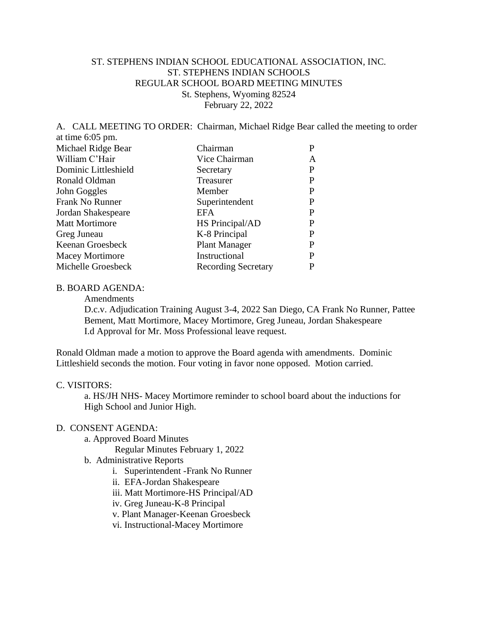## ST. STEPHENS INDIAN SCHOOL EDUCATIONAL ASSOCIATION, INC. ST. STEPHENS INDIAN SCHOOLS REGULAR SCHOOL BOARD MEETING MINUTES St. Stephens, Wyoming 82524 February 22, 2022

A. CALL MEETING TO ORDER: Chairman, Michael Ridge Bear called the meeting to order at time 6:05 pm.

| Michael Ridge Bear     | Chairman                   | P |
|------------------------|----------------------------|---|
| William C'Hair         | Vice Chairman              | A |
| Dominic Littleshield   | Secretary                  | P |
| Ronald Oldman          | Treasurer                  | P |
| John Goggles           | Member                     | P |
| Frank No Runner        | Superintendent             | P |
| Jordan Shakespeare     | EFA                        | P |
| <b>Matt Mortimore</b>  | HS Principal/AD            | P |
| Greg Juneau            | K-8 Principal              | P |
| Keenan Groesbeck       | <b>Plant Manager</b>       | P |
| <b>Macey Mortimore</b> | Instructional              | P |
| Michelle Groesbeck     | <b>Recording Secretary</b> | P |
|                        |                            |   |

## B. BOARD AGENDA:

Amendments

D.c.v. Adjudication Training August 3-4, 2022 San Diego, CA Frank No Runner, Pattee Bement, Matt Mortimore, Macey Mortimore, Greg Juneau, Jordan Shakespeare I.d Approval for Mr. Moss Professional leave request.

Ronald Oldman made a motion to approve the Board agenda with amendments. Dominic Littleshield seconds the motion. Four voting in favor none opposed. Motion carried.

#### C. VISITORS:

a. HS/JH NHS- Macey Mortimore reminder to school board about the inductions for High School and Junior High.

### D. CONSENT AGENDA:

a. Approved Board Minutes

Regular Minutes February 1, 2022

- b. Administrative Reports
	- i. Superintendent -Frank No Runner
	- ii. EFA-Jordan Shakespeare
	- iii. Matt Mortimore-HS Principal/AD
	- iv. Greg Juneau-K-8 Principal
	- v. Plant Manager-Keenan Groesbeck
	- vi. Instructional-Macey Mortimore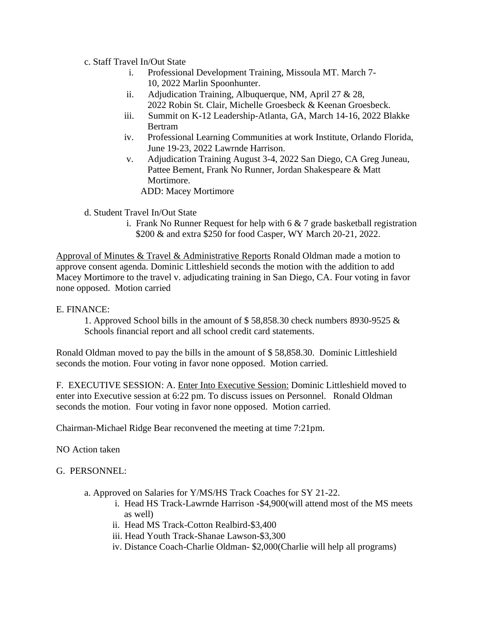## c. Staff Travel In/Out State

- i. Professional Development Training, Missoula MT. March 7- 10, 2022 Marlin Spoonhunter.
- ii. Adjudication Training, Albuquerque, NM, April 27 & 28, 2022 Robin St. Clair, Michelle Groesbeck & Keenan Groesbeck.
- iii. Summit on K-12 Leadership-Atlanta, GA, March 14-16, 2022 Blakke Bertram
- iv. Professional Learning Communities at work Institute, Orlando Florida, June 19-23, 2022 Lawrnde Harrison.
- v. Adjudication Training August 3-4, 2022 San Diego, CA Greg Juneau, Pattee Bement, Frank No Runner, Jordan Shakespeare & Matt Mortimore.

ADD: Macey Mortimore

d. Student Travel In/Out State

i. Frank No Runner Request for help with  $6 \& 7$  grade basketball registration \$200 & and extra \$250 for food Casper, WY March 20-21, 2022.

Approval of Minutes & Travel & Administrative Reports Ronald Oldman made a motion to approve consent agenda. Dominic Littleshield seconds the motion with the addition to add Macey Mortimore to the travel v. adjudicating training in San Diego, CA. Four voting in favor none opposed. Motion carried

E. FINANCE:

1. Approved School bills in the amount of \$ 58,858.30 check numbers 8930-9525 & Schools financial report and all school credit card statements.

Ronald Oldman moved to pay the bills in the amount of \$ 58,858.30. Dominic Littleshield seconds the motion. Four voting in favor none opposed. Motion carried.

F. EXECUTIVE SESSION: A. Enter Into Executive Session: Dominic Littleshield moved to enter into Executive session at 6:22 pm. To discuss issues on Personnel. Ronald Oldman seconds the motion. Four voting in favor none opposed. Motion carried.

Chairman-Michael Ridge Bear reconvened the meeting at time 7:21pm.

NO Action taken

# G. PERSONNEL:

- a. Approved on Salaries for Y/MS/HS Track Coaches for SY 21-22.
	- i. Head HS Track-Lawrnde Harrison -\$4,900(will attend most of the MS meets as well)
	- ii. Head MS Track-Cotton Realbird-\$3,400
	- iii. Head Youth Track-Shanae Lawson-\$3,300
	- iv. Distance Coach-Charlie Oldman- \$2,000(Charlie will help all programs)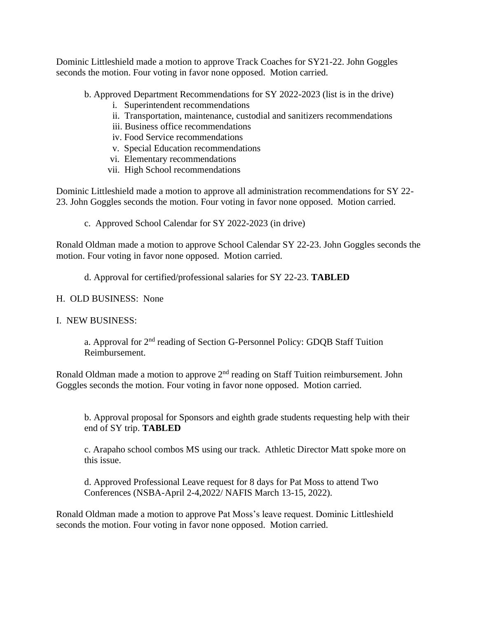Dominic Littleshield made a motion to approve Track Coaches for SY21-22. John Goggles seconds the motion. Four voting in favor none opposed. Motion carried.

b. Approved Department Recommendations for SY 2022-2023 (list is in the drive)

- i. Superintendent recommendations
- ii. Transportation, maintenance, custodial and sanitizers recommendations
- iii. Business office recommendations
- iv. Food Service recommendations
- v. Special Education recommendations
- vi. Elementary recommendations
- vii. High School recommendations

Dominic Littleshield made a motion to approve all administration recommendations for SY 22- 23. John Goggles seconds the motion. Four voting in favor none opposed. Motion carried.

c. Approved School Calendar for SY 2022-2023 (in drive)

Ronald Oldman made a motion to approve School Calendar SY 22-23. John Goggles seconds the motion. Four voting in favor none opposed. Motion carried.

d. Approval for certified/professional salaries for SY 22-23. **TABLED**

H. OLD BUSINESS: None

### I. NEW BUSINESS:

a. Approval for 2<sup>nd</sup> reading of Section G-Personnel Policy: GDQB Staff Tuition Reimbursement.

Ronald Oldman made a motion to approve 2<sup>nd</sup> reading on Staff Tuition reimbursement. John Goggles seconds the motion. Four voting in favor none opposed. Motion carried.

b. Approval proposal for Sponsors and eighth grade students requesting help with their end of SY trip. **TABLED**

c. Arapaho school combos MS using our track. Athletic Director Matt spoke more on this issue.

d. Approved Professional Leave request for 8 days for Pat Moss to attend Two Conferences (NSBA-April 2-4,2022/ NAFIS March 13-15, 2022).

Ronald Oldman made a motion to approve Pat Moss's leave request. Dominic Littleshield seconds the motion. Four voting in favor none opposed. Motion carried.